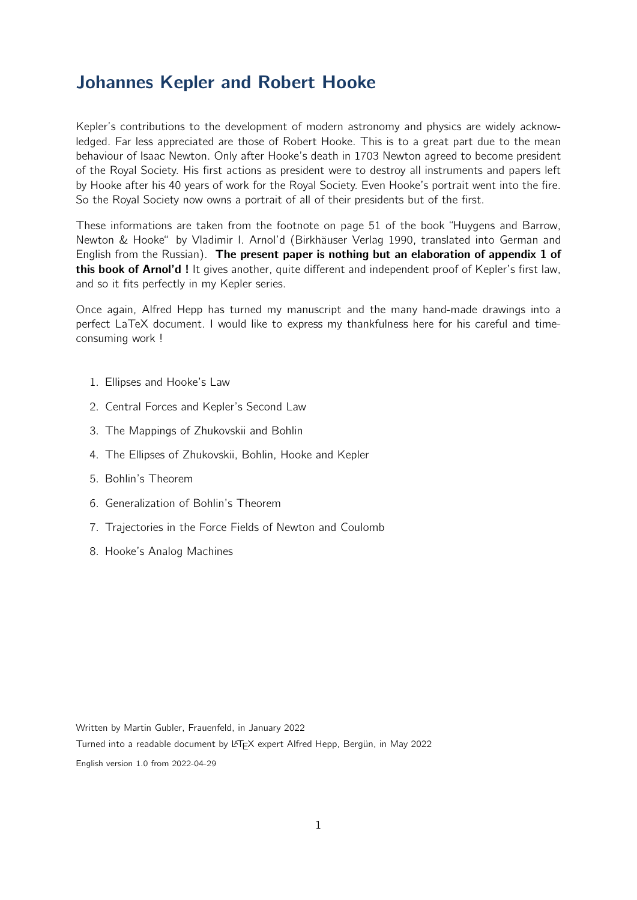# Johannes Kepler and Robert Hooke

Kepler's contributions to the development of modern astronomy and physics are widely acknowledged. Far less appreciated are those of Robert Hooke. This is to a great part due to the mean behaviour of Isaac Newton. Only after Hooke's death in 1703 Newton agreed to become president of the Royal Society. His first actions as president were to destroy all instruments and papers left by Hooke after his 40 years of work for the Royal Society. Even Hooke's portrait went into the fire. So the Royal Society now owns a portrait of all of their presidents but of the first.

These informations are taken from the footnote on page 51 of the book "Huygens and Barrow, Newton & Hooke" by Vladimir I. Arnol'd (Birkhäuser Verlag 1990, translated into German and English from the Russian). The present paper is nothing but an elaboration of appendix 1 of this book of Arnol'd ! It gives another, quite different and independent proof of Kepler's first law, and so it fits perfectly in my Kepler series.

Once again, Alfred Hepp has turned my manuscript and the many hand-made drawings into a perfect LaTeX document. I would like to express my thankfulness here for his careful and timeconsuming work !

- 1. Ellipses and Hooke's Law
- 2. Central Forces and Kepler's Second Law
- 3. The Mappings of Zhukovskii and Bohlin
- 4. The Ellipses of Zhukovskii, Bohlin, Hooke and Kepler
- 5. Bohlin's Theorem
- 6. Generalization of Bohlin's Theorem
- 7. Trajectories in the Force Fields of Newton and Coulomb
- 8. Hooke's Analog Machines

Written by Martin Gubler, Frauenfeld, in January 2022

Turned into a readable document by L<sup>AT</sup>EX expert Alfred Hepp, Bergün, in May 2022

English version 1.0 from 2022-04-29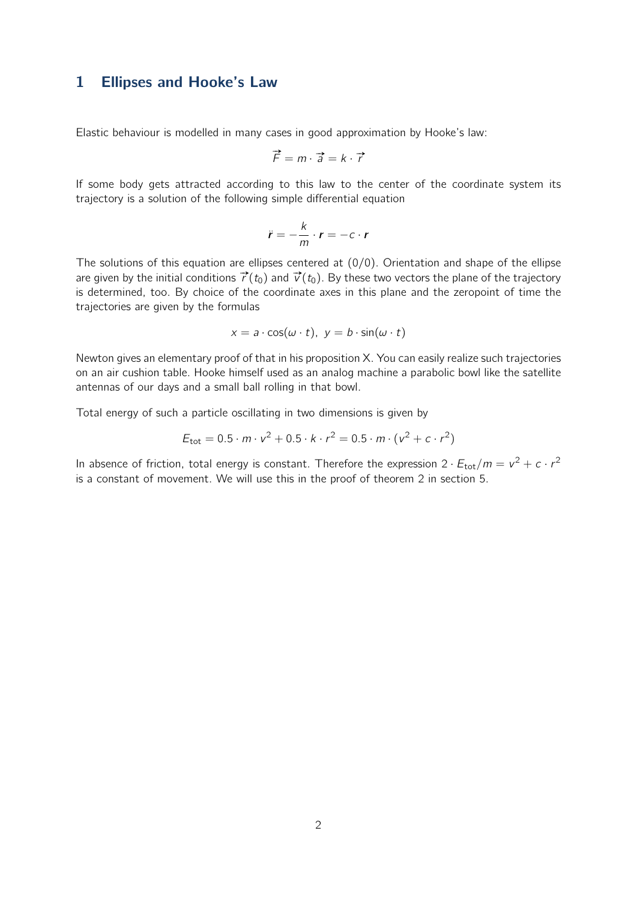#### 1 Ellipses and Hooke's Law

Elastic behaviour is modelled in many cases in good approximation by Hooke's law:

$$
\vec{F} = m \cdot \vec{a} = k \cdot \vec{r}
$$

If some body gets attracted according to this law to the center of the coordinate system its trajectory is a solution of the following simple differential equation

$$
\ddot{r}=-\frac{k}{m}\cdot r=-c\cdot r
$$

The solutions of this equation are ellipses centered at  $(0/0)$ . Orientation and shape of the ellipse are given by the initial conditions  $\vec{r}(t_0)$  and  $\vec{v}(t_0)$ . By these two vectors the plane of the trajectory is determined, too. By choice of the coordinate axes in this plane and the zeropoint of time the trajectories are given by the formulas

$$
x = a \cdot \cos(\omega \cdot t), \ y = b \cdot \sin(\omega \cdot t)
$$

Newton gives an elementary proof of that in his proposition X. You can easily realize such trajectories on an air cushion table. Hooke himself used as an analog machine a parabolic bowl like the satellite antennas of our days and a small ball rolling in that bowl.

Total energy of such a particle oscillating in two dimensions is given by

$$
E_{\text{tot}} = 0.5 \cdot m \cdot v^2 + 0.5 \cdot k \cdot r^2 = 0.5 \cdot m \cdot (v^2 + c \cdot r^2)
$$

In absence of friction, total energy is constant. Therefore the expression  $2 \cdot E_{\text{tot}}/m = v^2 + c \cdot r^2$ is a constant of movement. We will use this in the proof of theorem 2 in section 5.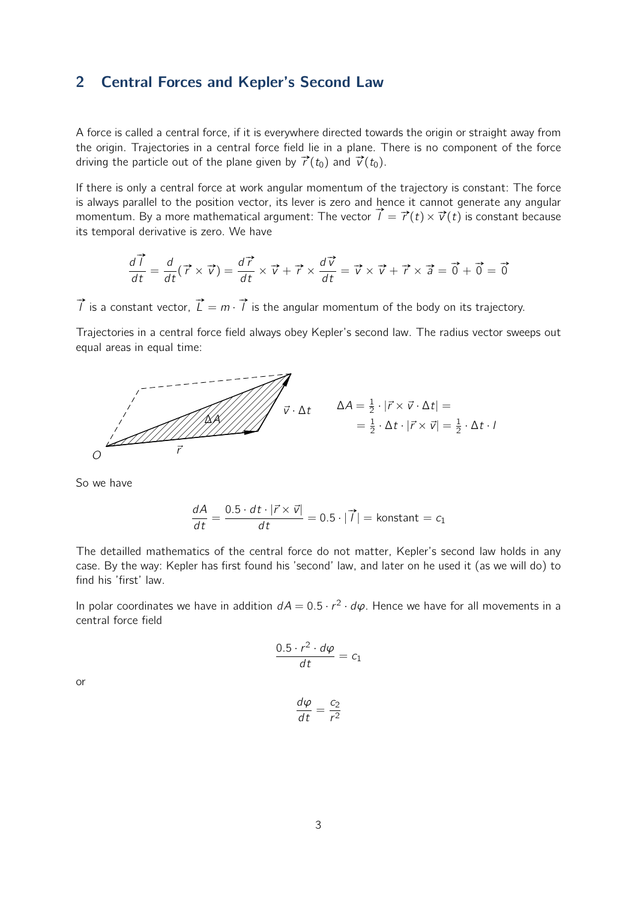#### 2 Central Forces and Kepler's Second Law

A force is called a central force, if it is everywhere directed towards the origin or straight away from the origin. Trajectories in a central force field lie in a plane. There is no component of the force driving the particle out of the plane given by  $\vec{r}(t_0)$  and  $\vec{v}(t_0)$ .

If there is only a central force at work angular momentum of the trajectory is constant: The force is always parallel to the position vector, its lever is zero and hence it cannot generate any angular is always parallet to the position vector, its lever is zero and hence it cannot generate any angular<br>momentum. By a more mathematical argument: The vector  $\vec{l} = \vec{r}(t) \times \vec{v}(t)$  is constant because its temporal derivative is zero. We have

$$
\frac{d\vec{l}}{dt} = \frac{d}{dt}(\vec{r} \times \vec{v}) = \frac{d\vec{r}}{dt} \times \vec{v} + \vec{r} \times \frac{d\vec{v}}{dt} = \vec{v} \times \vec{v} + \vec{r} \times \vec{a} = \vec{0} + \vec{0} = \vec{0}
$$

 $\overrightarrow{l}$  is a constant vector,  $\overrightarrow{L} = m \cdot \overrightarrow{l}$  is the angular momentum of the body on its trajectory.

Trajectories in a central force field always obey Kepler's second law. The radius vector sweeps out equal areas in equal time:



So we have

$$
\frac{dA}{dt} = \frac{0.5 \cdot dt \cdot |\vec{r} \times \vec{v}|}{dt} = 0.5 \cdot |\vec{1}| = \text{konstant} = c_1
$$

The detailled mathematics of the central force do not matter, Kepler's second law holds in any case. By the way: Kepler has first found his 'second' law, and later on he used it (as we will do) to find his 'first' law.

In polar coordinates we have in addition  $dA = 0.5 \cdot r^2 \cdot d\varphi$ . Hence we have for all movements in a central force field

$$
\frac{0.5 \cdot r^2 \cdot d\varphi}{dt} = c_1
$$

or

$$
\frac{d\varphi}{dt} = \frac{c_2}{r^2}
$$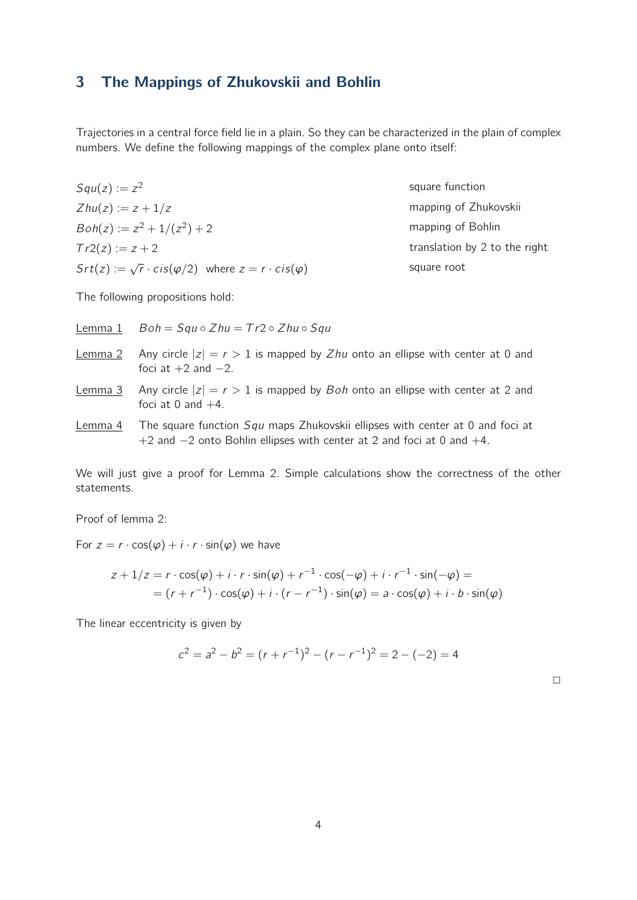# 3 The Mappings of Zhukovskii and Bohlin

Trajectories in a central force field lie in a plain. So they can be characterized in the plain of complex numbers. We define the following mappings of the complex plane onto itself:

 $Squ(z) := z^2$  $Zhu(z) := z + 1/z$  $Boh(z) := z^2 + 1/(z^2) + 2$  $Tr2(z) := z + 2$  $Str(z) := \sqrt{r} \cdot cis(\varphi/2)$  where  $z = r \cdot cis(\varphi)$  square function mapping of Zhukovskii mapping of Bohlin translation by 2 to the right square root

The following propositions hold:

| Lemma 1 | $Boh = Squ \circ Zhu = Tr2 \circ Zhu \circ Sgu$                                                                                                                      |
|---------|----------------------------------------------------------------------------------------------------------------------------------------------------------------------|
|         | <u>Lemma 2</u> Any circle $ z  = r > 1$ is mapped by Zhu onto an ellipse with center at 0 and<br>foci at $+2$ and $-2$ .                                             |
| Lemma 3 | Any circle $ z  = r > 1$ is mapped by <i>Boh</i> onto an ellipse with center at 2 and<br>foci at 0 and $+4$ .                                                        |
| Lemma 4 | The square function <i>Squ</i> maps Zhukovskii ellipses with center at 0 and foci at<br>$+2$ and $-2$ onto Bohlin ellipses with center at 2 and foci at 0 and $+4$ . |

We will just give a proof for Lemma 2. Simple calculations show the correctness of the other statements.

Proof of lemma 2:

For  $z = r \cdot \cos(\varphi) + i \cdot r \cdot \sin(\varphi)$  we have

$$
z + 1/z = r \cdot \cos(\varphi) + i \cdot r \cdot \sin(\varphi) + r^{-1} \cdot \cos(-\varphi) + i \cdot r^{-1} \cdot \sin(-\varphi) =
$$
  
= 
$$
(r + r^{-1}) \cdot \cos(\varphi) + i \cdot (r - r^{-1}) \cdot \sin(\varphi) = a \cdot \cos(\varphi) + i \cdot b \cdot \sin(\varphi)
$$

The linear eccentricity is given by

$$
c2 = a2 - b2 = (r + r-1)2 - (r - r-1)2 = 2 - (-2) = 4
$$

 $\Box$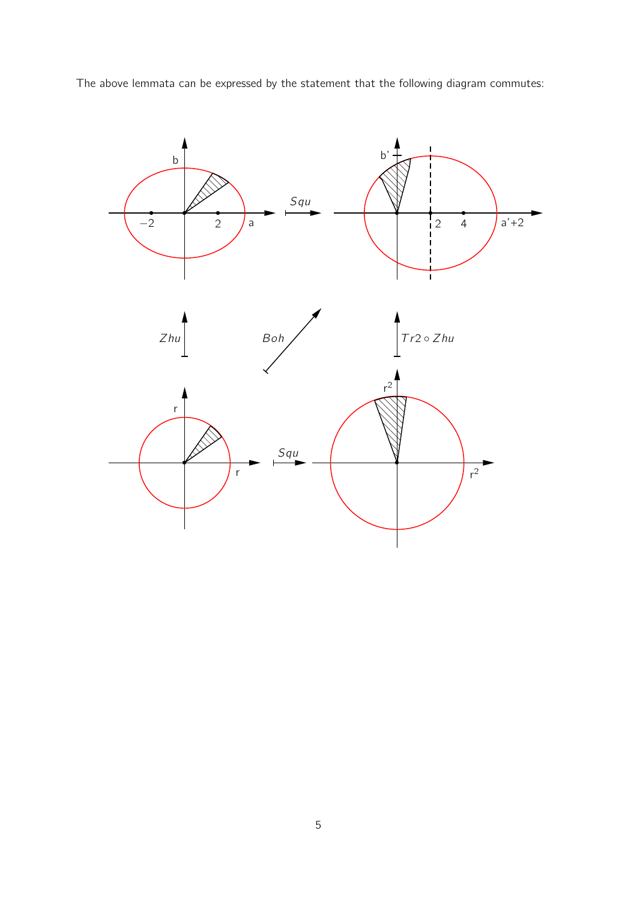

The above lemmata can be expressed by the statement that the following diagram commutes: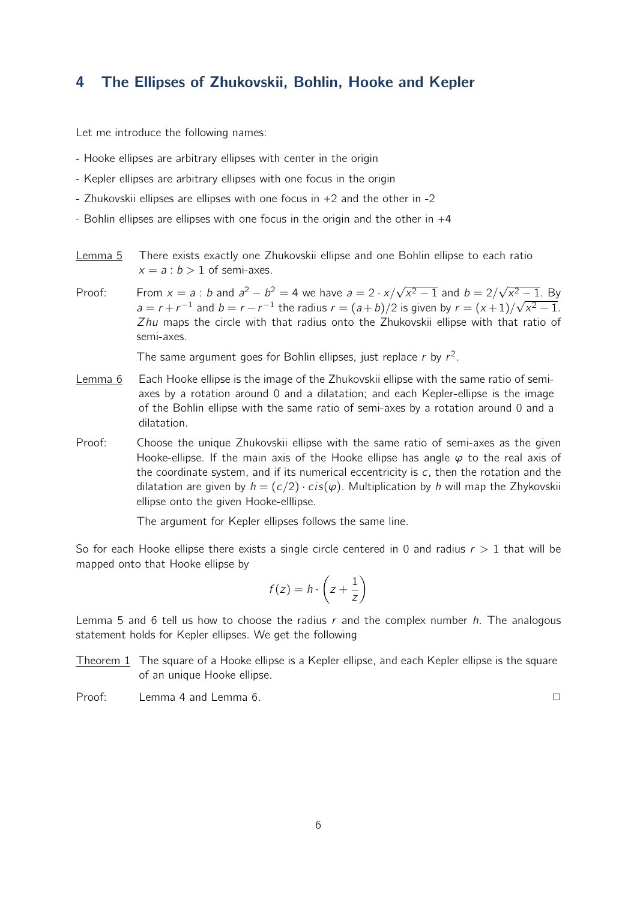## 4 The Ellipses of Zhukovskii, Bohlin, Hooke and Kepler

Let me introduce the following names:

- Hooke ellipses are arbitrary ellipses with center in the origin
- Kepler ellipses are arbitrary ellipses with one focus in the origin
- Zhukovskii ellipses are ellipses with one focus in +2 and the other in -2
- Bohlin ellipses are ellipses with one focus in the origin and the other in +4
- Lemma 5 There exists exactly one Zhukovskii ellipse and one Bohlin ellipse to each ratio  $x = a : b > 1$  of semi-axes.
- Proof: From  $x = a : b$  and  $a^2 b^2 = 4$  we have  $a = 2 \cdot x / \sqrt{x^2 1}$  and  $b = 2 / \sqrt{x^2 1}$ . By  $a = r + r^{-1}$  and  $b = r - r^{-1}$  the radius  $r = (a + b)/2$  is given by  $r = (x + 1)/\sqrt{x^2 - 1}$ . *Zhu* maps the circle with that radius onto the Zhukovskii ellipse with that ratio of semi-axes.

The same argument goes for Bohlin ellipses, just replace  $r$  by  $r^2$ .

- Lemma 6 Each Hooke ellipse is the image of the Zhukovskii ellipse with the same ratio of semiaxes by a rotation around 0 and a dilatation; and each Kepler-ellipse is the image of the Bohlin ellipse with the same ratio of semi-axes by a rotation around 0 and a dilatation.
- Proof: Choose the unique Zhukovskii ellipse with the same ratio of semi-axes as the given Hooke-ellipse. If the main axis of the Hooke ellipse has angle *φ* to the real axis of the coordinate system, and if its numerical eccentricity is *c*, then the rotation and the dilatation are given by  $h = (c/2) \cdot cis(\varphi)$ . Multiplication by *h* will map the Zhykovskii ellipse onto the given Hooke-elllipse.

The argument for Kepler ellipses follows the same line.

So for each Hooke ellipse there exists a single circle centered in 0 and radius *r >* 1 that will be mapped onto that Hooke ellipse by

$$
f(z) = h \cdot \left(z + \frac{1}{z}\right)
$$

Lemma 5 and 6 tell us how to choose the radius *r* and the complex number *h*. The analogous statement holds for Kepler ellipses. We get the following

- Theorem 1 The square of a Hooke ellipse is a Kepler ellipse, and each Kepler ellipse is the square of an unique Hooke ellipse.
- Proof: Lemma 4 and Lemma 6. **<u>∠</u> ∠ ∠ ∠ ∠ ∠ ∠**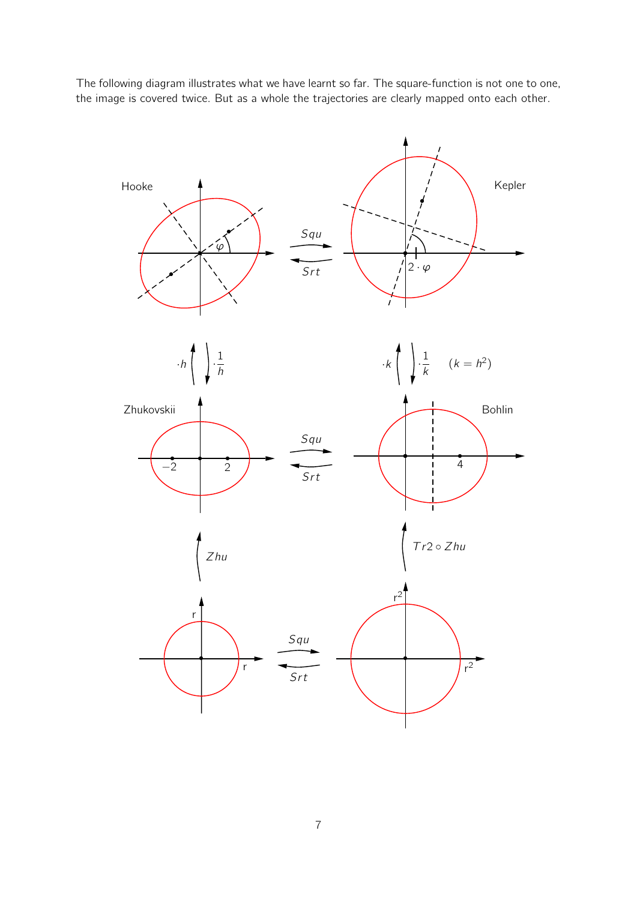The following diagram illustrates what we have learnt so far. The square-function is not one to one, the image is covered twice. But as a whole the trajectories are clearly mapped onto each other.

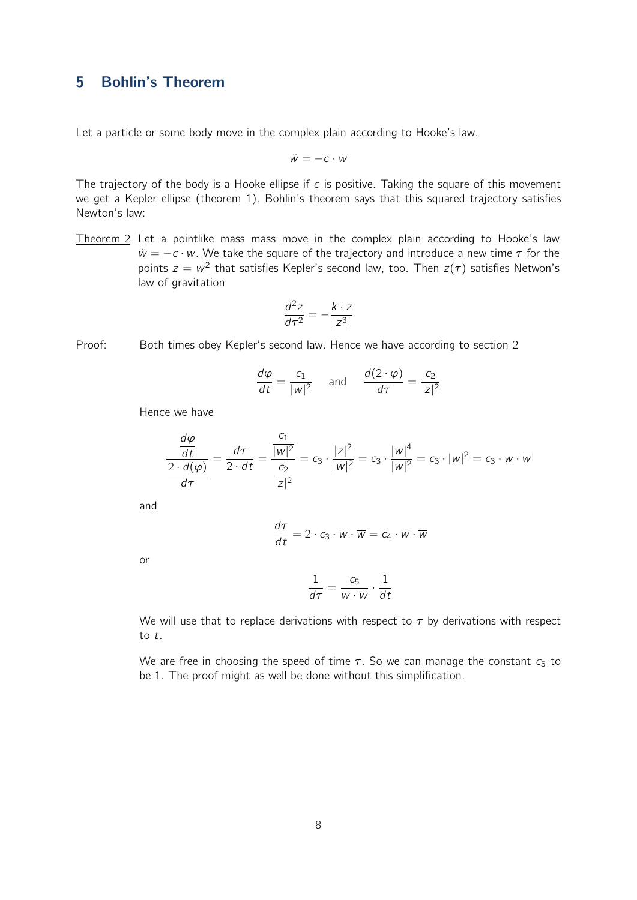## 5 Bohlin's Theorem

Let a particle or some body move in the complex plain according to Hooke's law.

$$
\ddot{w} = -c \cdot w
$$

The trajectory of the body is a Hooke ellipse if *c* is positive. Taking the square of this movement we get a Kepler ellipse (theorem 1). Bohlin's theorem says that this squared trajectory satisfies Newton's law:

Theorem 2 Let a pointlike mass mass move in the complex plain according to Hooke's law  $\ddot{w} = -c \cdot w$ . We take the square of the trajectory and introduce a new time  $\tau$  for the points  $z = w^2$  that satisfies Kepler's second law, too. Then  $z(\tau)$  satisfies Netwon's law of gravitation

$$
\frac{d^2z}{d\tau^2} = -\frac{k \cdot z}{|z^3|}
$$

Proof: Both times obey Kepler's second law. Hence we have according to section 2

$$
\frac{d\varphi}{dt} = \frac{c_1}{|w|^2} \quad \text{and} \quad \frac{d(2 \cdot \varphi)}{d\tau} = \frac{c_2}{|z|^2}
$$

Hence we have

*dφ*

$$
\frac{\frac{d\varphi}{dt}}{\frac{2 \cdot d(\varphi)}{d\tau}} = \frac{d\tau}{2 \cdot dt} = \frac{\frac{c_1}{|w|^2}}{\frac{c_2}{|z|^2}} = c_3 \cdot \frac{|z|^2}{|w|^2} = c_3 \cdot \frac{|w|^4}{|w|^2} = c_3 \cdot |w|^2 = c_3 \cdot w \cdot \overline{w}
$$

and

$$
\frac{d\tau}{dt} = 2 \cdot c_3 \cdot w \cdot \overline{w} = c_4 \cdot w \cdot \overline{w}
$$

or

$$
\frac{1}{d\tau} = \frac{c_5}{w \cdot \overline{w}} \cdot \frac{1}{dt}
$$

We will use that to replace derivations with respect to *τ* by derivations with respect to *t*.

We are free in choosing the speed of time  $\tau$ . So we can manage the constant  $c_5$  to be 1. The proof might as well be done without this simplification.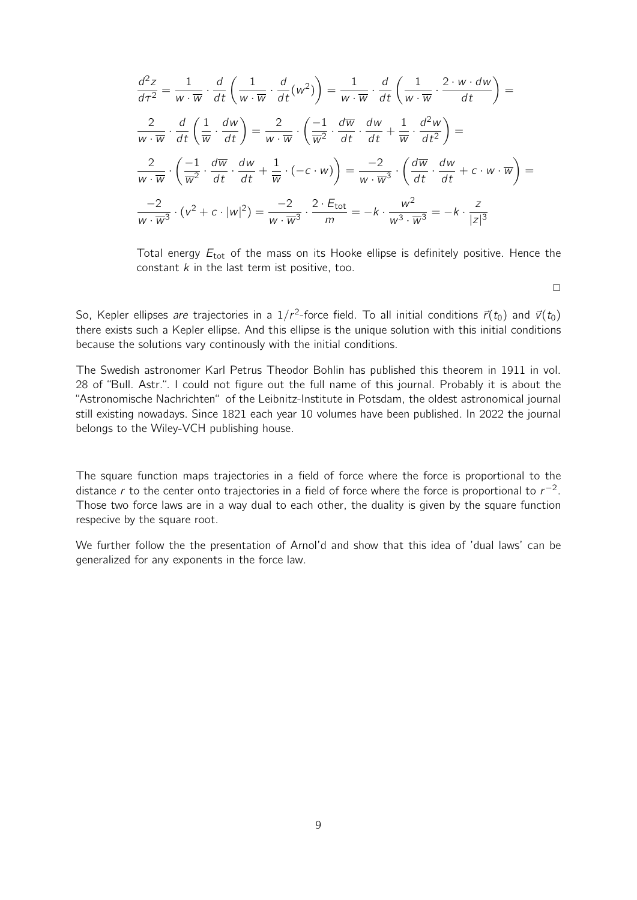$$
\frac{d^2z}{d\tau^2} = \frac{1}{w \cdot \overline{w}} \cdot \frac{d}{dt} \left( \frac{1}{w \cdot \overline{w}} \cdot \frac{d}{dt} (w^2) \right) = \frac{1}{w \cdot \overline{w}} \cdot \frac{d}{dt} \left( \frac{1}{w \cdot \overline{w}} \cdot \frac{2 \cdot w \cdot dw}{dt} \right) =
$$
\n
$$
\frac{2}{w \cdot \overline{w}} \cdot \frac{d}{dt} \left( \frac{1}{\overline{w}} \cdot \frac{dw}{dt} \right) = \frac{2}{w \cdot \overline{w}} \cdot \left( \frac{-1}{\overline{w}^2} \cdot \frac{d\overline{w}}{dt} \cdot \frac{dw}{dt} + \frac{1}{\overline{w}} \cdot \frac{d^2w}{dt^2} \right) =
$$
\n
$$
\frac{2}{w \cdot \overline{w}} \cdot \left( \frac{-1}{\overline{w}^2} \cdot \frac{d\overline{w}}{dt} \cdot \frac{dw}{dt} + \frac{1}{\overline{w}} \cdot (-c \cdot w) \right) = \frac{-2}{w \cdot \overline{w}^3} \cdot \left( \frac{d\overline{w}}{dt} \cdot \frac{dw}{dt} + c \cdot w \cdot \overline{w} \right) =
$$
\n
$$
\frac{-2}{w \cdot \overline{w}^3} \cdot (v^2 + c \cdot |w|^2) = \frac{-2}{w \cdot \overline{w}^3} \cdot \frac{2 \cdot E_{\text{tot}}}{m} = -k \cdot \frac{w^2}{w^3 \cdot \overline{w}^3} = -k \cdot \frac{z}{|z|^3}
$$

Total energy *E*tot of the mass on its Hooke ellipse is definitely positive. Hence the constant *k* in the last term ist positive, too.

 $\Box$ 

So, Kepler ellipses *are* trajectories in a  $1/r^2$ -force field. To all initial conditions  $\vec{r}(t_0)$  and  $\vec{v}(t_0)$ there exists such a Kepler ellipse. And this ellipse is the unique solution with this initial conditions because the solutions vary continously with the initial conditions.

The Swedish astronomer Karl Petrus Theodor Bohlin has published this theorem in 1911 in vol. 28 of "Bull. Astr.". I could not figure out the full name of this journal. Probably it is about the "Astronomische Nachrichten" of the Leibnitz-Institute in Potsdam, the oldest astronomical journal still existing nowadays. Since 1821 each year 10 volumes have been published. In 2022 the journal belongs to the Wiley-VCH publishing house.

The square function maps trajectories in a field of force where the force is proportional to the distance *r* to the center onto trajectories in a field of force where the force is proportional to *r −*2 . Those two force laws are in a way dual to each other, the duality is given by the square function respecive by the square root.

We further follow the the presentation of Arnol'd and show that this idea of 'dual laws' can be generalized for any exponents in the force law.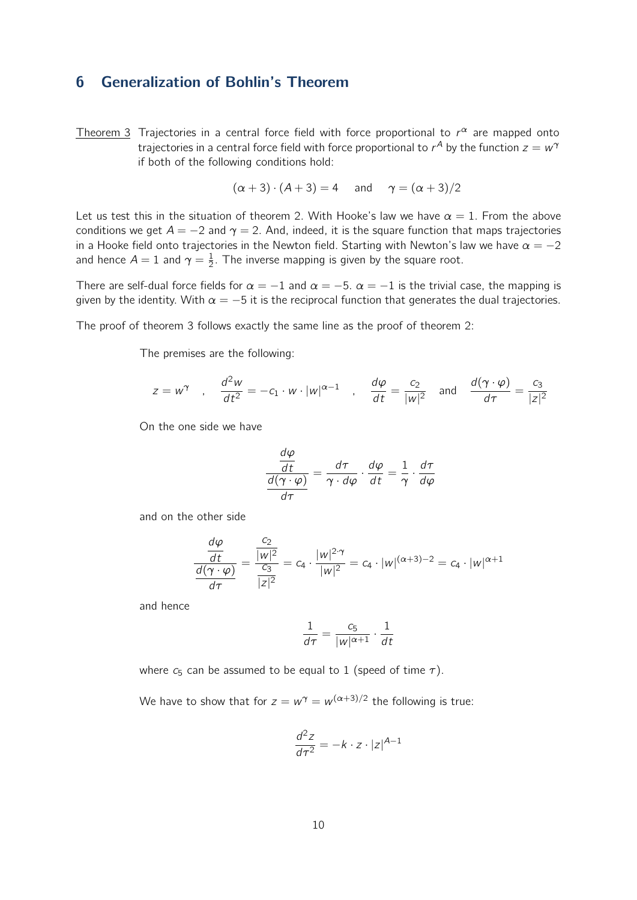## 6 Generalization of Bohlin's Theorem

Theorem 3 Trajectories in a central force field with force proportional to *r <sup>α</sup>* are mapped onto trajectories in a central force field with force proportional to  $r^A$  by the function  $z=w^{\gamma}$ if both of the following conditions hold:

$$
(\alpha + 3) \cdot (A + 3) = 4 \quad \text{and} \quad \gamma = (\alpha + 3)/2
$$

Let us test this in the situation of theorem 2. With Hooke's law we have  $\alpha = 1$ . From the above conditions we get  $A = -2$  and  $\gamma = 2$ . And, indeed, it is the square function that maps trajectories in a Hooke field onto trajectories in the Newton field. Starting with Newton's law we have  $\alpha = -2$ and hence  $A = 1$  and  $\gamma = \frac{1}{2}$  $\frac{1}{2}$ . The inverse mapping is given by the square root.

There are self-dual force fields for  $\alpha = -1$  and  $\alpha = -5$ .  $\alpha = -1$  is the trivial case, the mapping is given by the identity. With  $\alpha = -5$  it is the reciprocal function that generates the dual trajectories.

The proof of theorem 3 follows exactly the same line as the proof of theorem 2:

The premises are the following:

$$
z = w^{\gamma}
$$
,  $\frac{d^2w}{dt^2} = -c_1 \cdot w \cdot |w|^{\alpha-1}$ ,  $\frac{d\varphi}{dt} = \frac{c_2}{|w|^2}$  and  $\frac{d(\gamma \cdot \varphi)}{d\tau} = \frac{c_3}{|z|^2}$ 

On the one side we have

$$
\frac{\frac{d\varphi}{dt}}{\frac{d(\gamma \cdot \varphi)}{d\tau}} = \frac{d\tau}{\gamma \cdot d\varphi} \cdot \frac{d\varphi}{dt} = \frac{1}{\gamma} \cdot \frac{d\tau}{d\varphi}
$$

and on the other side

$$
\frac{\frac{d\varphi}{dt}}{\frac{d(\gamma \cdot \varphi)}{d\tau}} = \frac{\frac{c_2}{|w|^2}}{\frac{c_3}{|z|^2}} = c_4 \cdot \frac{|w|^{2 \cdot \gamma}}{|w|^2} = c_4 \cdot |w|^{(\alpha+3)-2} = c_4 \cdot |w|^{\alpha+1}
$$

and hence

$$
\frac{1}{d\tau} = \frac{c_5}{|w|^{\alpha+1}} \cdot \frac{1}{dt}
$$

where  $c_5$  can be assumed to be equal to 1 (speed of time  $\tau$ ).

We have to show that for  $z = w^\gamma = w^{(\alpha+3)/2}$  the following is true:

$$
\frac{d^2z}{d\tau^2} = -k \cdot z \cdot |z|^{A-1}
$$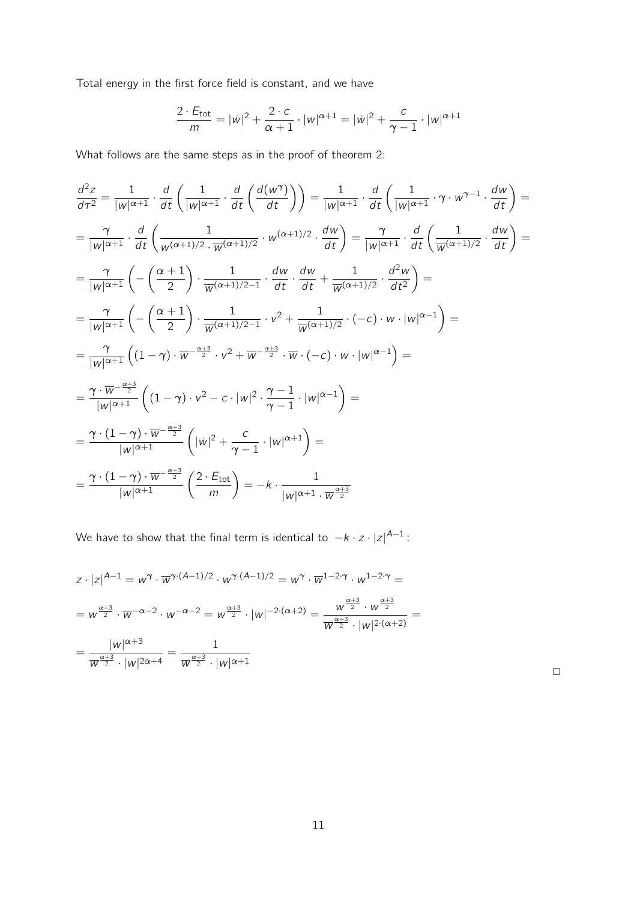Total energy in the first force field is constant, and we have

$$
\frac{2 \cdot E_{\text{tot}}}{m} = |w|^2 + \frac{2 \cdot c}{\alpha + 1} \cdot |w|^{\alpha + 1} = |w|^2 + \frac{c}{\gamma - 1} \cdot |w|^{\alpha + 1}
$$

What follows are the same steps as in the proof of theorem 2:

$$
\frac{d^2z}{d\tau^2} = \frac{1}{|w|^{\alpha+1}} \cdot \frac{d}{dt} \left( \frac{1}{|w|^{\alpha+1}} \cdot \frac{d}{dt} \left( \frac{d(w^{\gamma})}{dt} \right) \right) = \frac{1}{|w|^{\alpha+1}} \cdot \frac{d}{dt} \left( \frac{1}{|w|^{\alpha+1}} \cdot \gamma \cdot w^{\gamma-1} \cdot \frac{dw}{dt} \right) =
$$
\n
$$
= \frac{\gamma}{|w|^{\alpha+1}} \cdot \frac{d}{dt} \left( \frac{1}{w^{(\alpha+1)/2}} \cdot \frac{1}{w^{(\alpha+1)/2}} \cdot w^{(\alpha+1)/2} \cdot \frac{dw}{dt} \right) = \frac{\gamma}{|w|^{\alpha+1}} \cdot \frac{d}{dt} \left( \frac{1}{w^{(\alpha+1)/2}} \cdot \frac{dw}{dt} \right) =
$$
\n
$$
= \frac{\gamma}{|w|^{\alpha+1}} \left( -\left( \frac{\alpha+1}{2} \right) \cdot \frac{1}{w^{(\alpha+1)/2-1}} \cdot \frac{dw}{dt} \cdot \frac{dw}{dt} + \frac{1}{w^{(\alpha+1)/2}} \cdot \frac{d^2w}{dt^2} \right) =
$$
\n
$$
= \frac{\gamma}{|w|^{\alpha+1}} \left( -\left( \frac{\alpha+1}{2} \right) \cdot \frac{1}{w^{(\alpha+1)/2-1}} \cdot v^2 + \frac{1}{w^{(\alpha+1)/2}} \cdot (-c) \cdot w \cdot |w|^{\alpha-1} \right) =
$$
\n
$$
= \frac{\gamma}{|w|^{\alpha+1}} \left( (1-\gamma) \cdot w^{-\frac{\alpha+3}{2}} \cdot v^2 + w^{-\frac{\alpha+3}{2}} \cdot \overline{w} \cdot (-c) \cdot w \cdot |w|^{\alpha-1} \right) =
$$
\n
$$
= \frac{\gamma \cdot \overline{w}^{-\frac{\alpha+3}{2}}}{|w|^{\alpha+1}} \left( (1-\gamma) \cdot v^2 - c \cdot |w|^2 \cdot \frac{\gamma-1}{\gamma-1} \cdot |w|^{\alpha-1} \right) =
$$
\n
$$
= \frac{\gamma \cdot (1-\gamma) \cdot \overline{w}^{-\frac{\alpha+3}{2}}}{|w|^{\alpha+1}} \left( |w|^2 + \frac{c}{\gamma-1} \cdot |w|^
$$

We have to show that the final term is identical to *−k · z · |z| A−*1 :

$$
z \cdot |z|^{A-1} = w^{\gamma} \cdot \overline{w}^{\gamma \cdot (A-1)/2} \cdot w^{\gamma \cdot (A-1)/2} = w^{\gamma} \cdot \overline{w}^{1-2\cdot \gamma} \cdot w^{1-2\cdot \gamma} =
$$
  
\n
$$
= w^{\frac{\alpha+3}{2}} \cdot \overline{w}^{-\alpha-2} \cdot w^{-\alpha-2} = w^{\frac{\alpha+3}{2}} \cdot |w|^{-2\cdot(\alpha+2)} = \frac{w^{\frac{\alpha+3}{2}} \cdot w^{\frac{\alpha+3}{2}}}{w^{\frac{\alpha+3}{2}} \cdot |w|^{2\cdot(\alpha+2)}} =
$$
  
\n
$$
= \frac{|w|^{\alpha+3}}{\overline{w}^{\frac{\alpha+3}{2}} \cdot |w|^{2\alpha+4}} = \frac{1}{w^{\frac{\alpha+3}{2}} \cdot |w|^{\alpha+1}}
$$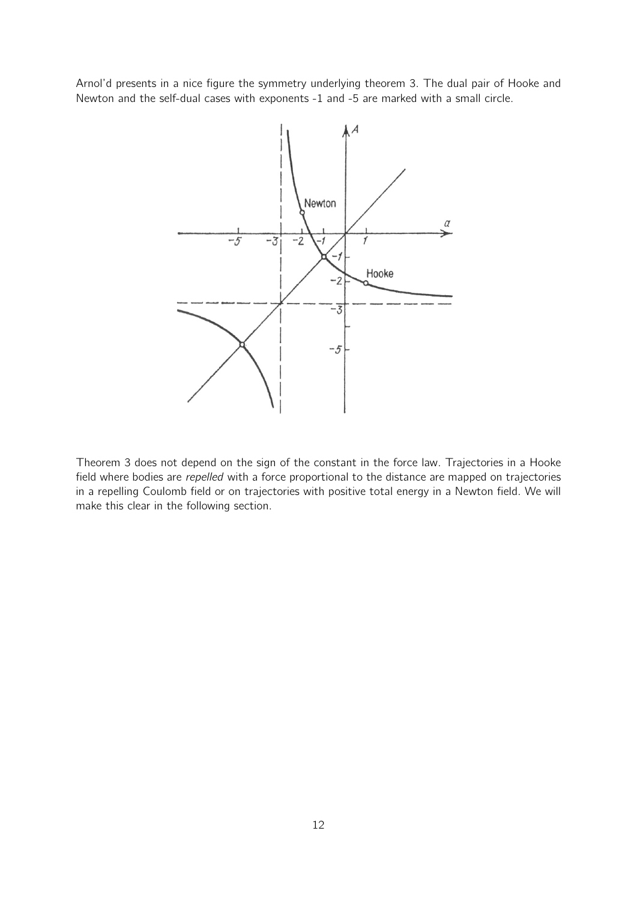Arnol'd presents in a nice figure the symmetry underlying theorem 3. The dual pair of Hooke and Newton and the self-dual cases with exponents -1 and -5 are marked with a small circle.



Theorem 3 does not depend on the sign of the constant in the force law. Trajectories in a Hooke field where bodies are *repelled* with a force proportional to the distance are mapped on trajectories in a repelling Coulomb field or on trajectories with positive total energy in a Newton field. We will make this clear in the following section.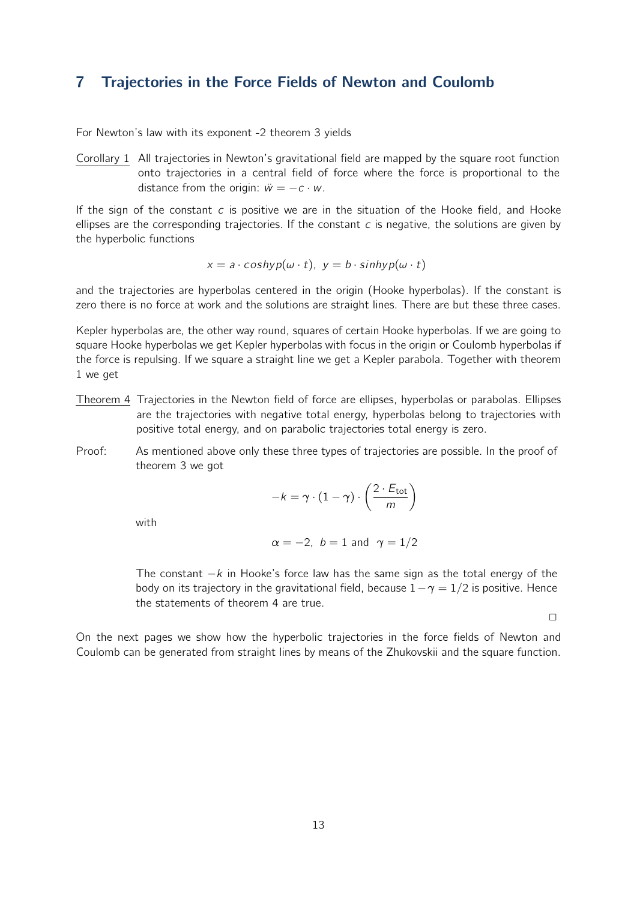## 7 Trajectories in the Force Fields of Newton and Coulomb

For Newton's law with its exponent -2 theorem 3 yields

Corollary 1 All trajectories in Newton's gravitational field are mapped by the square root function onto trajectories in a central field of force where the force is proportional to the distance from the origin:  $\ddot{w} = -c \cdot w$ .

If the sign of the constant *c* is positive we are in the situation of the Hooke field, and Hooke ellipses are the corresponding trajectories. If the constant *c* is negative, the solutions are given by the hyperbolic functions

$$
x = a \cdot \cosh(y) \cdot (a \cdot t), \ y = b \cdot \sinh(y) \cdot (a \cdot t)
$$

and the trajectories are hyperbolas centered in the origin (Hooke hyperbolas). If the constant is zero there is no force at work and the solutions are straight lines. There are but these three cases.

Kepler hyperbolas are, the other way round, squares of certain Hooke hyperbolas. If we are going to square Hooke hyperbolas we get Kepler hyperbolas with focus in the origin or Coulomb hyperbolas if the force is repulsing. If we square a straight line we get a Kepler parabola. Together with theorem 1 we get

- Theorem 4 Trajectories in the Newton field of force are ellipses, hyperbolas or parabolas. Ellipses are the trajectories with negative total energy, hyperbolas belong to trajectories with positive total energy, and on parabolic trajectories total energy is zero.
- Proof: As mentioned above only these three types of trajectories are possible. In the proof of theorem 3 we got

$$
-k = \gamma \cdot (1 - \gamma) \cdot \left(\frac{2 \cdot E_{\text{tot}}}{m}\right)
$$

with

$$
\alpha = -2, b = 1 \text{ and } \gamma = 1/2
$$

The constant *−k* in Hooke's force law has the same sign as the total energy of the body on its trajectory in the gravitational field, because 1*−γ* = 1*/*2 is positive. Hence the statements of theorem 4 are true.

 $\Box$ 

On the next pages we show how the hyperbolic trajectories in the force fields of Newton and Coulomb can be generated from straight lines by means of the Zhukovskii and the square function.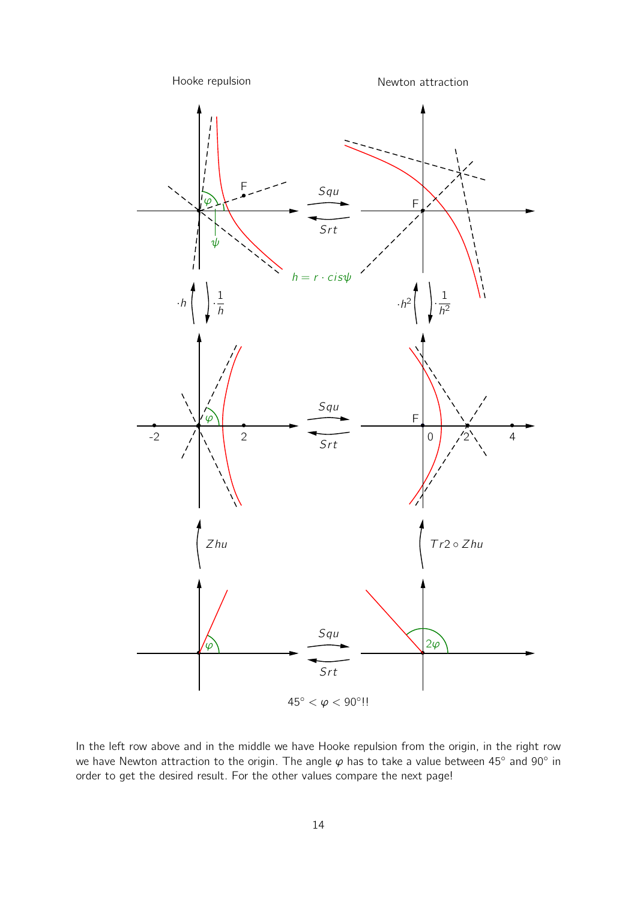

In the left row above and in the middle we have Hooke repulsion from the origin, in the right row we have Newton attraction to the origin. The angle *φ* has to take a value between 45*◦* and 90*◦* in order to get the desired result. For the other values compare the next page!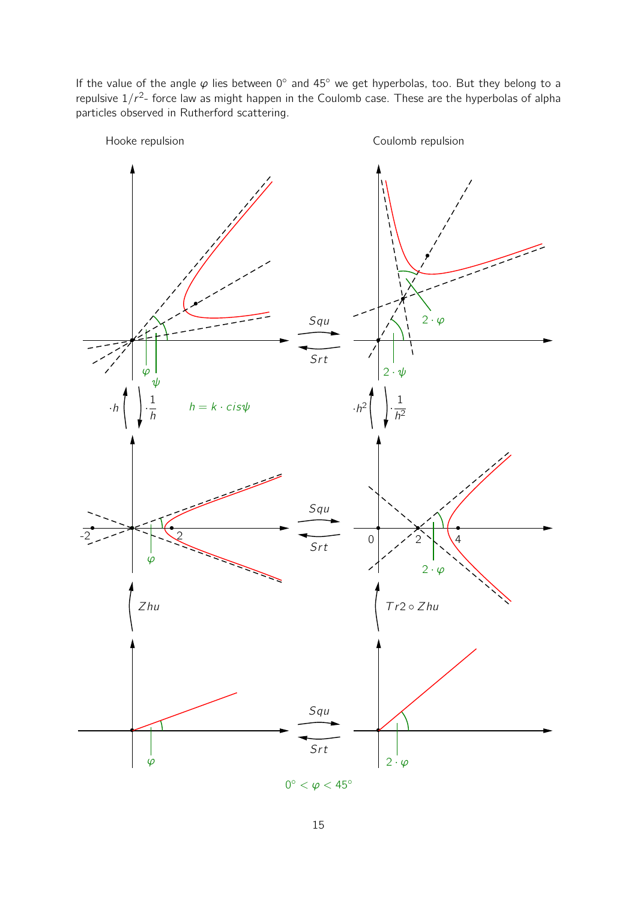If the value of the angle φ lies between 0<sup>°</sup> and 45<sup>°</sup> we get hyperbolas, too. But they belong to a repulsive  $1/r^2$ - force law as might happen in the Coulomb case. These are the hyperbolas of alpha particles observed in Rutherford scattering.

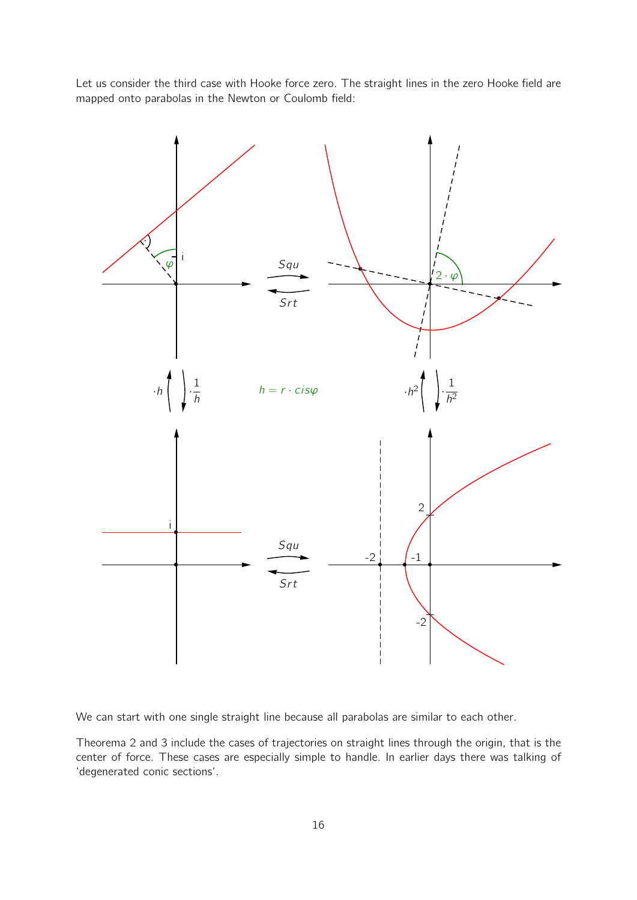Let us consider the third case with Hooke force zero. The straight lines in the zero Hooke field are mapped onto parabolas in the Newton or Coulomb field:



We can start with one single straight line because all parabolas are similar to each other.

Theorema 2 and 3 include the cases of trajectories on straight lines through the origin, that is the center of force. These cases are especially simple to handle. In earlier days there was talking of 'degenerated conic sections'.